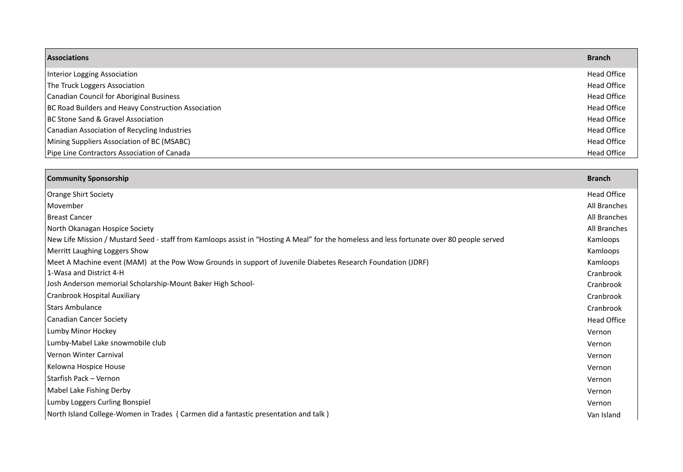| <b>Associations</b>                                 | <b>Branch</b>      |
|-----------------------------------------------------|--------------------|
| Interior Logging Association                        | <b>Head Office</b> |
| The Truck Loggers Association                       | <b>Head Office</b> |
| Canadian Council for Aboriginal Business            | <b>Head Office</b> |
| BC Road Builders and Heavy Construction Association | <b>Head Office</b> |
| <b>BC Stone Sand &amp; Gravel Association</b>       | <b>Head Office</b> |
| Canadian Association of Recycling Industries        | <b>Head Office</b> |
| Mining Suppliers Association of BC (MSABC)          | <b>Head Office</b> |
| Pipe Line Contractors Association of Canada         | <b>Head Office</b> |

| <b>Community Sponsorship</b>                                                                                                               | <b>Branch</b>      |
|--------------------------------------------------------------------------------------------------------------------------------------------|--------------------|
| <b>Orange Shirt Society</b>                                                                                                                | <b>Head Office</b> |
| Movember                                                                                                                                   | All Branches       |
| <b>Breast Cancer</b>                                                                                                                       | All Branches       |
| North Okanagan Hospice Society                                                                                                             | All Branches       |
| New Life Mission / Mustard Seed - staff from Kamloops assist in "Hosting A Meal" for the homeless and less fortunate over 80 people served | Kamloops           |
| Merritt Laughing Loggers Show                                                                                                              | Kamloops           |
| Meet A Machine event (MAM) at the Pow Wow Grounds in support of Juvenile Diabetes Research Foundation (JDRF)                               | Kamloops           |
| 1-Wasa and District 4-H                                                                                                                    | Cranbrook          |
| Josh Anderson memorial Scholarship-Mount Baker High School-                                                                                | Cranbrook          |
| Cranbrook Hospital Auxiliary                                                                                                               | Cranbrook          |
| <b>Stars Ambulance</b>                                                                                                                     | Cranbrook          |
| <b>Canadian Cancer Society</b>                                                                                                             | <b>Head Office</b> |
| Lumby Minor Hockey                                                                                                                         | Vernon             |
| Lumby-Mabel Lake snowmobile club                                                                                                           | Vernon             |
| Vernon Winter Carnival                                                                                                                     | Vernon             |
| Kelowna Hospice House                                                                                                                      | Vernon             |
| Starfish Pack - Vernon                                                                                                                     | Vernon             |
| Mabel Lake Fishing Derby                                                                                                                   | Vernon             |
| Lumby Loggers Curling Bonspiel                                                                                                             | Vernon             |
| North Island College-Women in Trades (Carmen did a fantastic presentation and talk)                                                        | Van Island         |